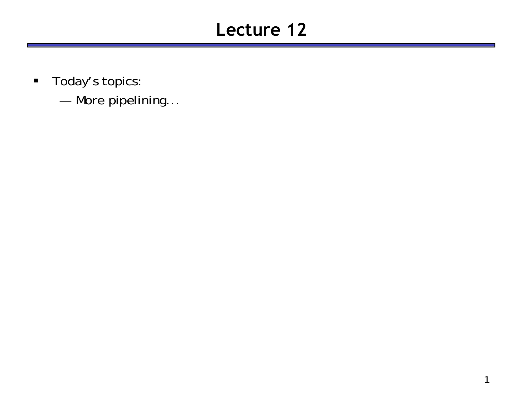# **Lecture 12**

- $\blacksquare$  Today's topics:
	- and the control of the control of More pipelining...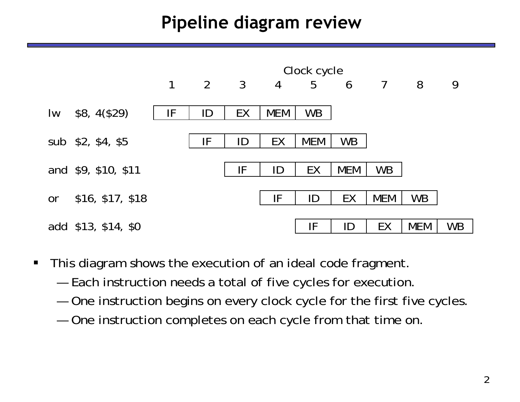# **Pipeline diagram review**



- $\blacksquare$  This diagram shows the execution of an ideal code fragment.
	- and the control of the control of Each instruction needs a total of five cycles for execution.
	- and the control of the control of One instruction begins on every clock cycle for the first five cycles.
	- and the control of the control of One instruction completes on each cycle from that time on.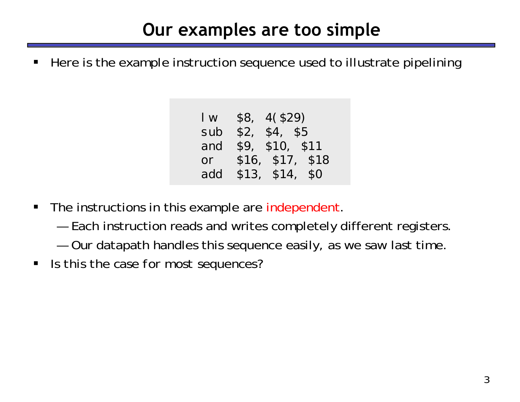# **Our examples are too simple**

ш Here is the example instruction sequence used to illustrate pipelining

| $\mathsf{I}$ w<br>sub | \$8, 4 (\$29)<br>\$2, \$4, \$5 |  |
|-----------------------|--------------------------------|--|
| and                   | \$9, \$10, \$11                |  |
| or                    | \$16, \$17, \$18               |  |
| add                   | \$13, \$14, \$0                |  |

- $\blacksquare$  The instructions in this example are independent.
	- and the control of the control of Each instruction reads and writes completely different registers.
	- and the control of the control of Our datapath handles this sequence easily, as we saw last time.
- $\blacksquare$ *Is this the case for most sequences?*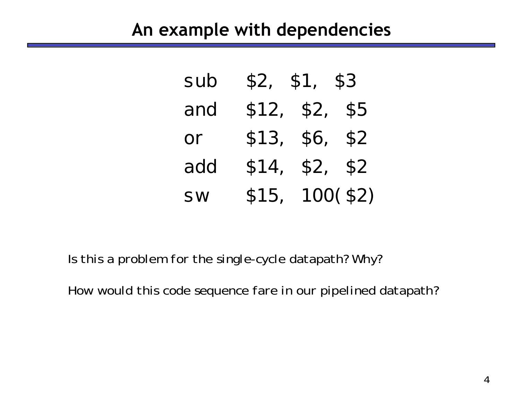#### **An example with dependencies**

| sub | \$2, \$1, \$3   |          |  |
|-----|-----------------|----------|--|
| and | \$12, \$2, \$5  |          |  |
| or  | \$13, \$6, \$2  |          |  |
| add | \$14,           | \$2, \$2 |  |
| SW  | \$15, 100 (\$2) |          |  |

*Is this a problem for the single-cycle datapath? Why?*

*How would this code sequence fare in our pipelined datapath?*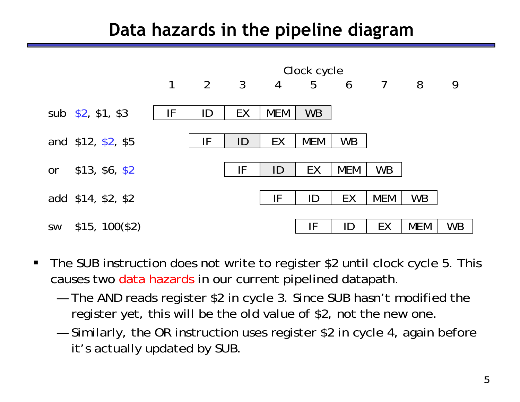## **Data hazards in the pipeline diagram**



- $\blacksquare$  The SUB instruction does not write to register \$2 until clock cycle 5. This causes two <mark>data hazards in our current pipelined d</mark>atapath.
	- and the control of the control of The AND reads register \$2 in cycle 3. Since SUB hasn't modified the register yet, this will be the *old* value of \$2, not the new one.
	- and the control of the control of Similarly, the OR instruction uses register \$2 in cycle 4, again before it's actually updated by SUB.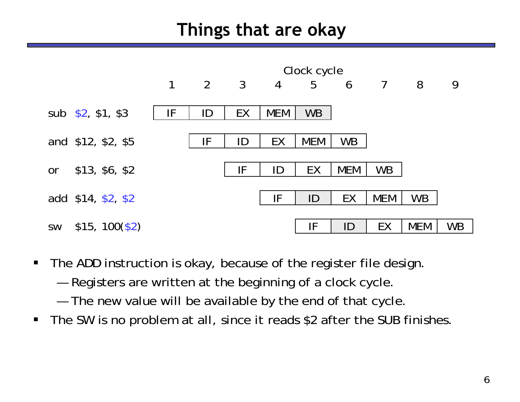## **Things that are okay**



- $\blacksquare$  The ADD instruction is okay, because of the register file design.
	- and the control of the control of Registers are written at the beginning of a clock cycle.
	- and the control of the control of The new value will be available by the end of that cycle.
- $\blacksquare$ The SW is no problem at all, since it reads \$2 after the SUB finishes.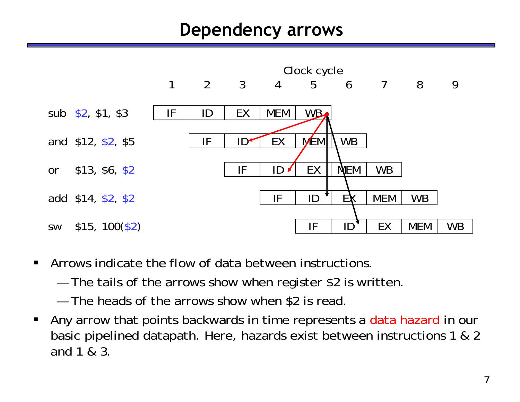#### **Dependency arrows**



- $\blacksquare$  Arrows indicate the flow of data between instructions.
	- and the control of the control of The tails of the arrows show when register \$2 is written.
	- The heads of the arrows show when \$2 is read.
- П Any arrow that points backwards in time represents a data hazard in our basic pipelined datapath. Here, hazards exist between instructions 1 & 2 and 1 & 3.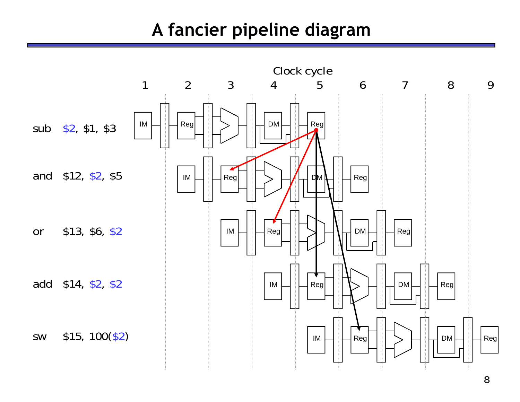## **A fancier pipeline diagram**

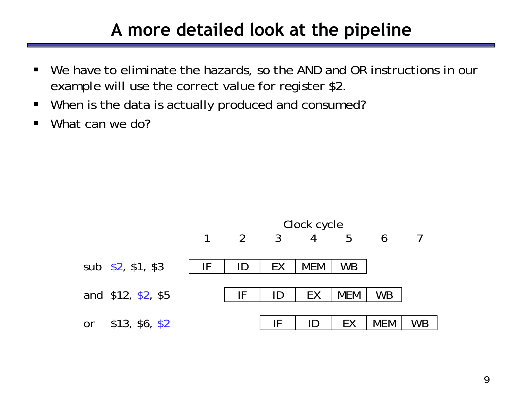### **A more detailed look at the pipeline**

- $\blacksquare$  We have to eliminate the hazards, so the AND and OR instructions in our example will use the correct value for register \$2.
- $\blacksquare$ When is the data is actually produced and consumed?
- $\blacksquare$ What can we do?

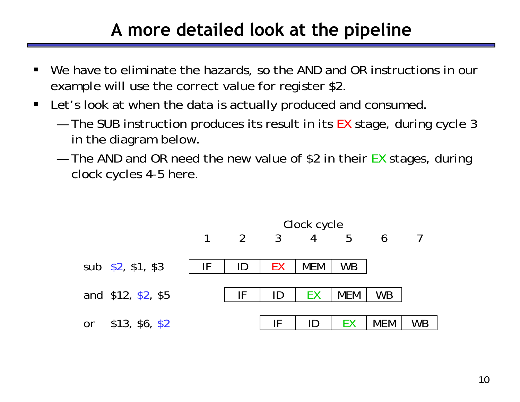# **A more detailed look at the pipeline**

- ш We have to eliminate the hazards, so the AND and OR instructions in our example will use the correct value for register \$2.
- $\blacksquare$  Let's look at when the data is actually produced and consumed.
	- and the control of the control of The SUB instruction produces its result in its EX stage, during cycle 3 in the diagram below.
	- and the control of the control of The AND and OR need the new value of \$2 in their EX stages, during clock cycles 4-5 here.

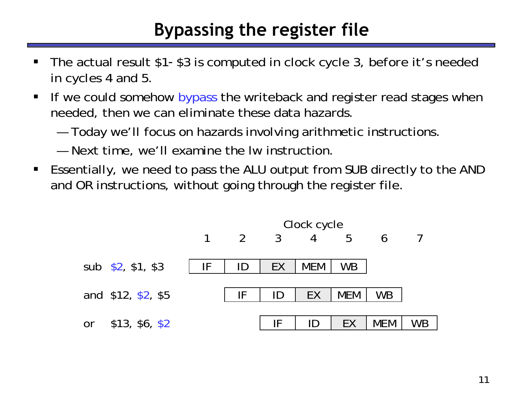# **Bypassing the register file**

- ш The actual result \$1 -\$3 is computed in clock cycle 3, *before* it's needed in cycles 4 and 5.
- $\blacksquare$ If we could somehow bypass the writeback and register read stages when needed, then we can eliminate these data hazards.
	- and the control of the control of Today we'll focus on hazards involving arithmetic instructions.
	- Next time, we'll examine the lw instruction.
- Essentially, we need to pass the ALU output from SUB directly to the AND and OR instructions, without going through the register file.

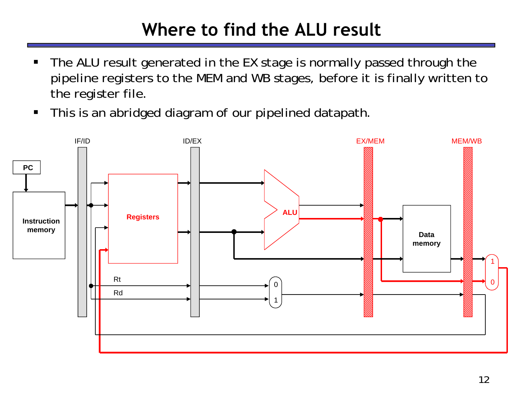# **Where to find the ALU result**

- ш The ALU result generated in the EX stage is normally passed through the pipeline registers to the MEM and WB stages, before it is finally written to the register file.
- $\blacksquare$ This is an abridged diagram of our pipelined datapath.

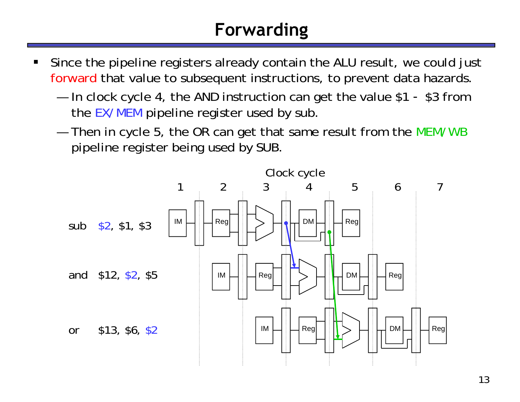# **Forwarding**

- ш Since the pipeline registers already contain the ALU result, we could just forward that value to subsequent instructions, to prevent data hazards.
	- and the control of the control of In clock cycle 4, the AND instruction can get the value \$1 - \$3 from the EX/MEM pipeline register used by sub.
	- and the control of the control of Then in cycle 5, the OR can get that same result from the MEM/WB pipeline register being used by SUB.

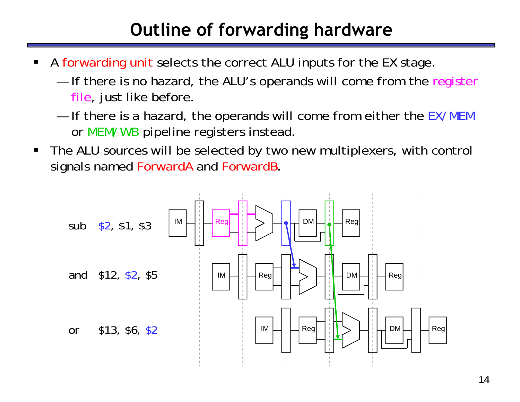# **Outline of forwarding hardware**

- ш A forwarding unit selects the correct ALU inputs for the EX stage.
	- and the control of the control of If there is no hazard, the ALU's operands will come from the register file, just like before.
	- and the control of the control of If there is a hazard, the operands will come from either the EX/MEM or MEM/WB pipeline registers instead.
- $\blacksquare$  The ALU sources will be selected by two new multiplexers, with control signals named ForwardA and ForwardB.

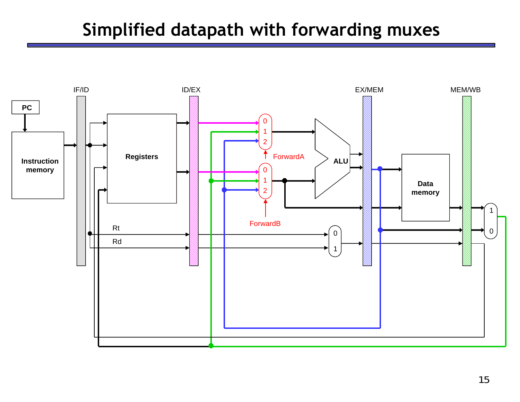## **Simplified datapath with forwarding muxes**

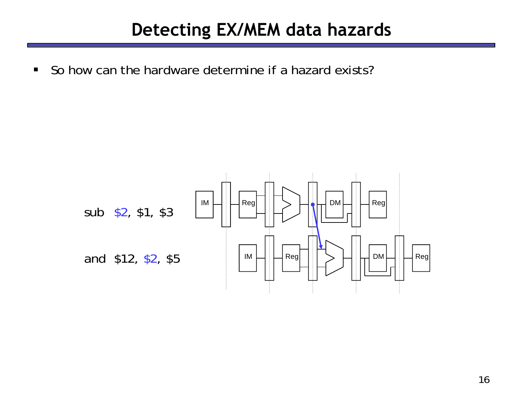## **Detecting EX/MEM data hazards**

 $\blacksquare$ So how can the hardware determine if a hazard exists?

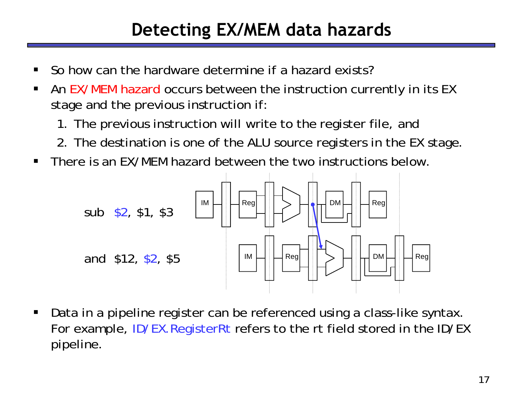# **Detecting EX/MEM data hazards**

- ш So how can the hardware determine if a hazard exists?
- $\blacksquare$ **An EX/MEM hazard occurs between the instruction currently in its EX** stage and the previous instruction if:
	- 1. The previous instruction will write to the register file, *and*
	- 2. The destination is one of the ALU source registers in the EX stage.
- $\blacksquare$ There is an EX/MEM hazard between the two instructions below.



 $\blacksquare$  Data in a pipeline register can be referenced using a class-like syntax. For example, ID/EX. RegisterRt refers to the rt field stored in the ID/EX pipeline.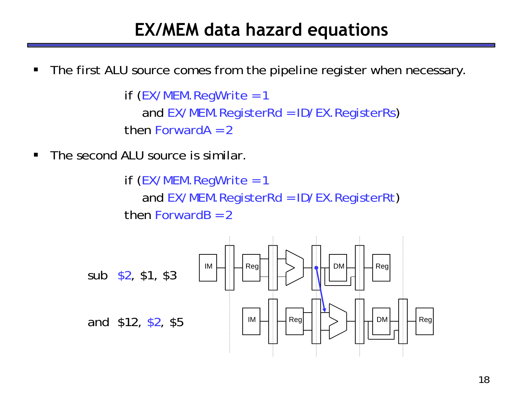#### **EX/MEM data hazard equations**

 $\blacksquare$ The first ALU source comes from the pipeline register when necessary.

```
if (EX/MEM.RegWrite = 1
  and EX/MEM.RegisterRd = ID/EX.RegisterRs)
then ForwardA = 2
```
 $\blacksquare$ The second ALU source is similar.

> if (EX/MEM.RegWrite = 1 and EX/MEM.RegisterRd = ID/EX.RegisterRt ) then Forward $B = 2$

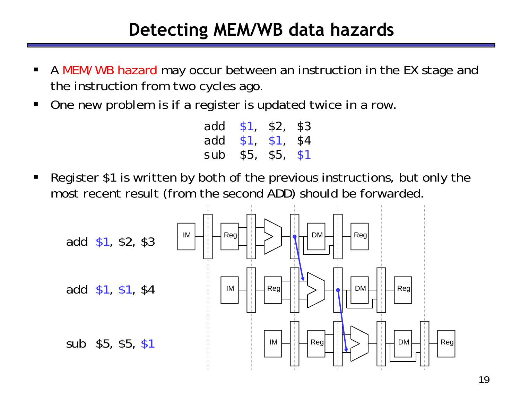### **Detecting MEM/WB data hazards**

- $\blacksquare$ **A MEM/WB hazard may occur between an instruction in the EX stage and** the instruction from *two* cycles ago.
- $\blacksquare$ One new problem is if a register is updated twice in a row.

| add | \$1  | \$2, | \$3 |
|-----|------|------|-----|
| add | \$1. | \$1, | \$4 |
| sub | \$5, | \$5, | \$1 |

 $\blacksquare$  Register \$1 is written by *both* of the previous instructions, but only the most recent result (from the second ADD) should be forwarded.

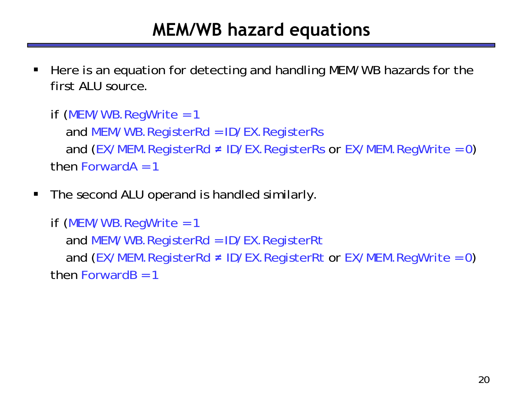## **MEM/WB hazard equations**

ш Here is an equation for detecting and handling MEM/WB hazards for the first ALU source.

```
if (MEM/WB.RegWrite = 1
  and MEM/WB.RegisterRd = ID/EX.RegisterRs
  and (EX/MEM.RegisterRd 
≠ ID/EX.RegisterRs or EX/MEM.RegWrite = 0)
then ForwardA = 1
```
 $\blacksquare$ The second ALU operand is handled similarly.

```
if (MEM/WB.RegWrite = 1
  and MEM/WB.RegisterRd = ID/EX.RegisterRt
  and (EX/MEM.RegisterRd 
≠ ID/EX.RegisterRt or EX/MEM.RegWrite = 0)
then ForwardB = 1
```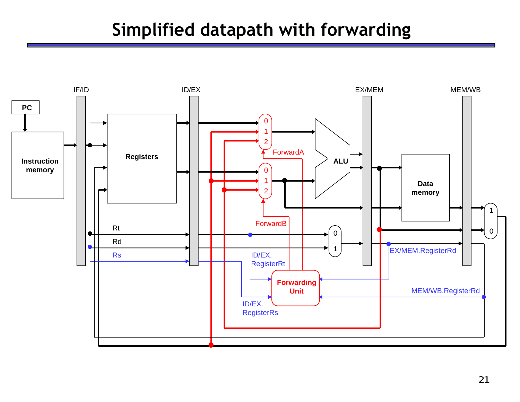## **Simplified datapath with forwarding**

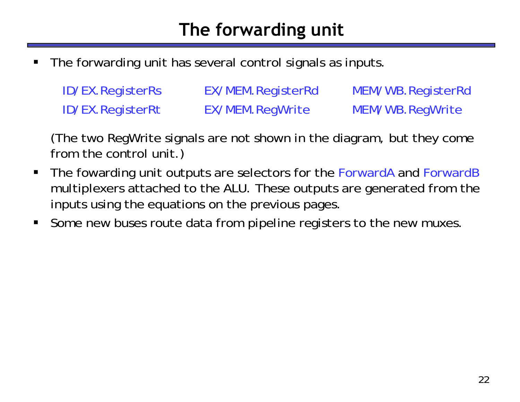# **The forwarding unit**

ш The forwarding unit has several control signals as inputs.

| <b>ID/EX.RegisterRs</b> | EX/MEM.RegisterRd | MEM/WB.RegisterRd |
|-------------------------|-------------------|-------------------|
| <b>ID/EX.RegisterRt</b> | EX/MEM.RegWrite   | MEM/WB.RegWrite   |

(The two RegWrite signals are not shown in the diagram, but they come from the control unit.)

- $\blacksquare$  The fowarding unit outputs are selectors for the ForwardA and ForwardB multiplexers attached to the ALU. These outputs are generated from the inputs using the equations on the previous pages.
- $\blacksquare$ Some new buses route data from pipeline registers to the new muxes.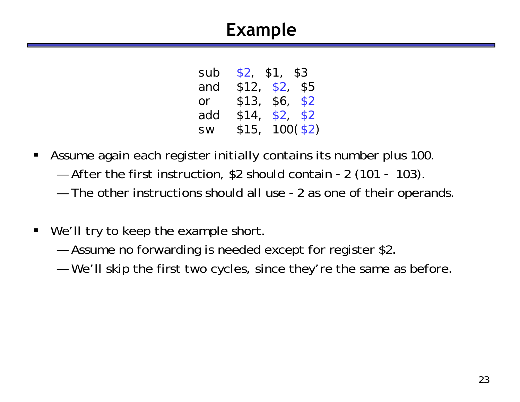# **Example**

| \$13, | \$6, \$2                        |
|-------|---------------------------------|
| \$14, | \$2, \$2                        |
| \$15, | $100($ \$2)                     |
|       | \$2, \$1, \$3<br>\$12, \$2, \$5 |

- $\blacksquare$  Assume again each register initially contains its number plus 100.
	- and the control of the control of After the first instruction, \$2 should contain -2 (101 - 103).
	- and the control of the control of The other instructions should all use -2 as one of their operands.
- $\blacksquare$ We'll try to keep the example short.
	- and the control of the control of Assume no forwarding is needed except for register \$2.
	- and the control of the control of We'll skip the first two cycles, since they're the same as before.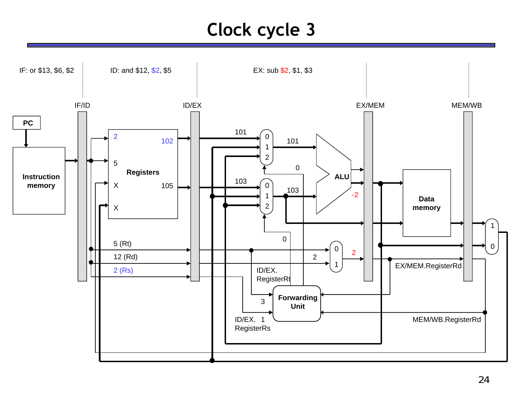# **Clock cycle 3**

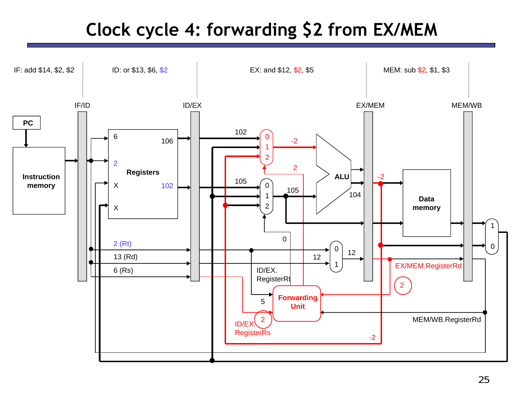# **Clock cycle 4: forwarding \$2 from EX/MEM**

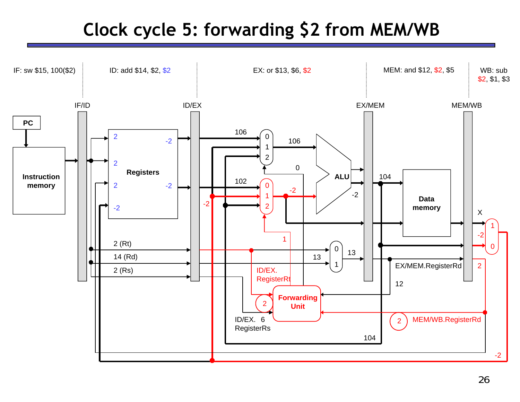# **Clock cycle 5: forwarding \$2 from MEM/WB**

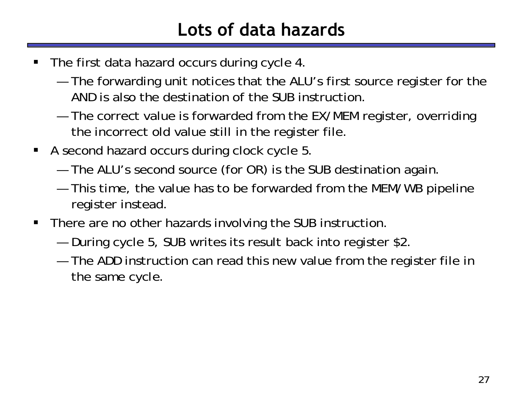# **Lots of data hazards**

- ш The first data hazard occurs during cycle 4.
	- and the control of the control of The forwarding unit notices that the ALU's first source register for the AND is also the destination of the SUB instruction.
	- and the control of the control of The correct value is forwarded from the EX/MEM register, overriding the incorrect old value still in the register file.
- $\blacksquare$  A second hazard occurs during clock cycle 5.
	- and the control of the control of The ALU's second source (for OR) is the SUB destination again.
	- and the control of the control of This time, the value has to be forwarded from the MEM/WB pipeline register instead.
- $\blacksquare$  There are no other hazards involving the SUB instruction.
	- and the control of the control of During cycle 5, SUB writes its result back into register \$2.
	- and the control of the control of The ADD instruction can read this new value from the register file in the same cycle.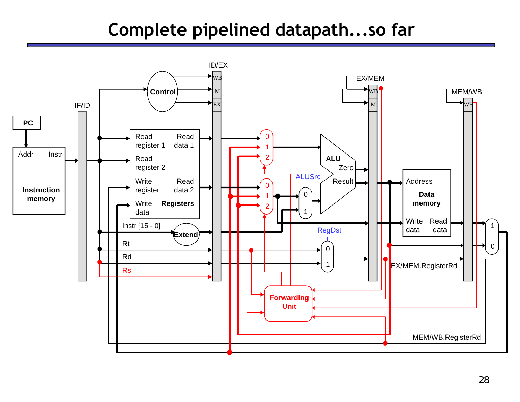# **Complete pipelined datapath...so far**

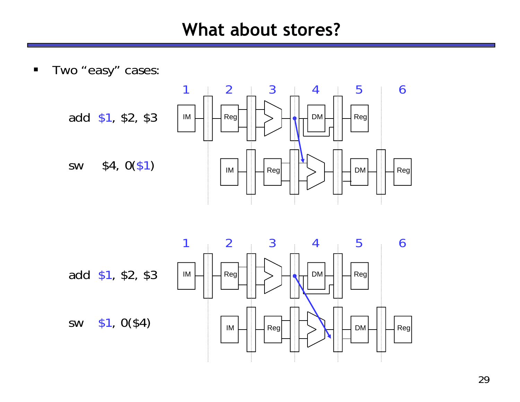#### **What about stores?**

 $\blacksquare$ Two "easy" cases:

sw



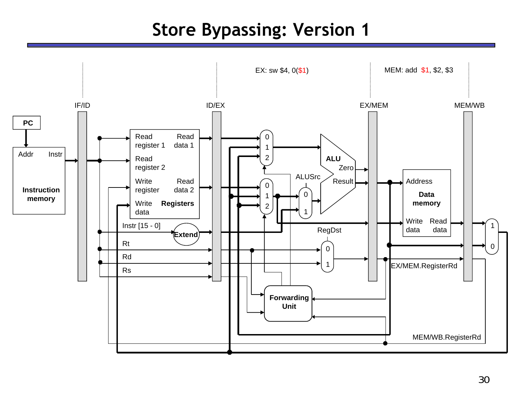## **Store Bypassing: Version 1**

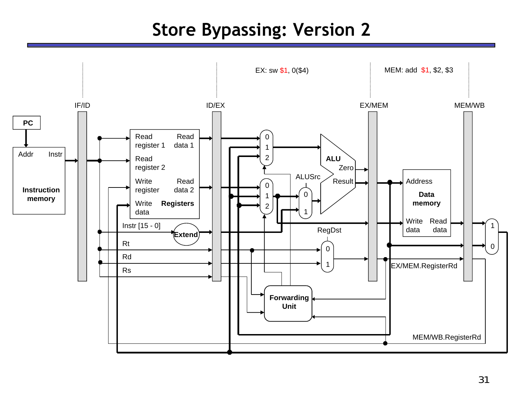# **Store Bypassing: Version 2**

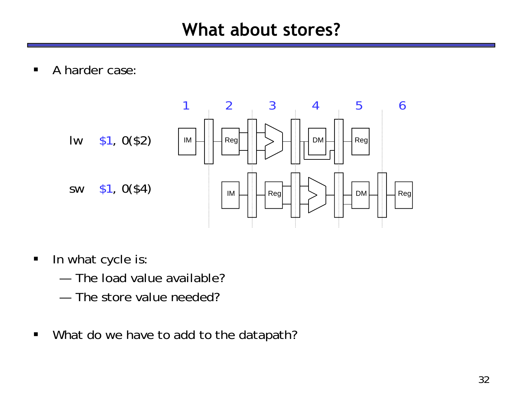$\blacksquare$ A harder case:



- $\blacksquare$  In what cycle is:
	- The load value available?
	- —The store value needed?
- $\blacksquare$ What do we have to add to the datapath?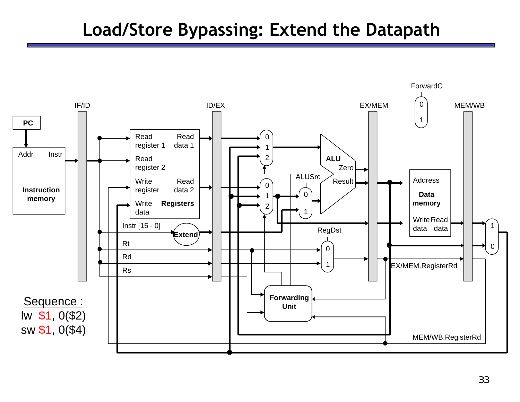## **Load/Store Bypassing: Extend the Datapath**

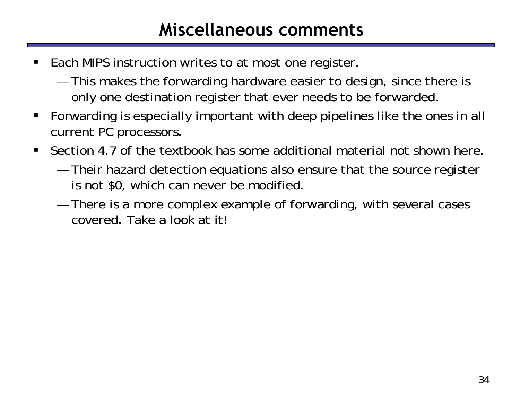### **Miscellaneous comments**

- ш Each MIPS instruction writes to at most one register.
	- and the control of the control of This makes the forwarding hardware easier to design, since there is only one destination register that ever needs to be forwarded.
- П Forwarding is especially important with deep pipelines like the ones in all current PC processors.
- $\blacksquare$  Section 4.7 of the textbook has some additional material not shown here.
	- and the control of the control of Their hazard detection equations also ensure that the source register is not \$0, which can never be modified.
	- and the control of the control of There is a more complex example of forwarding, with several cases covered. Take a look at it!